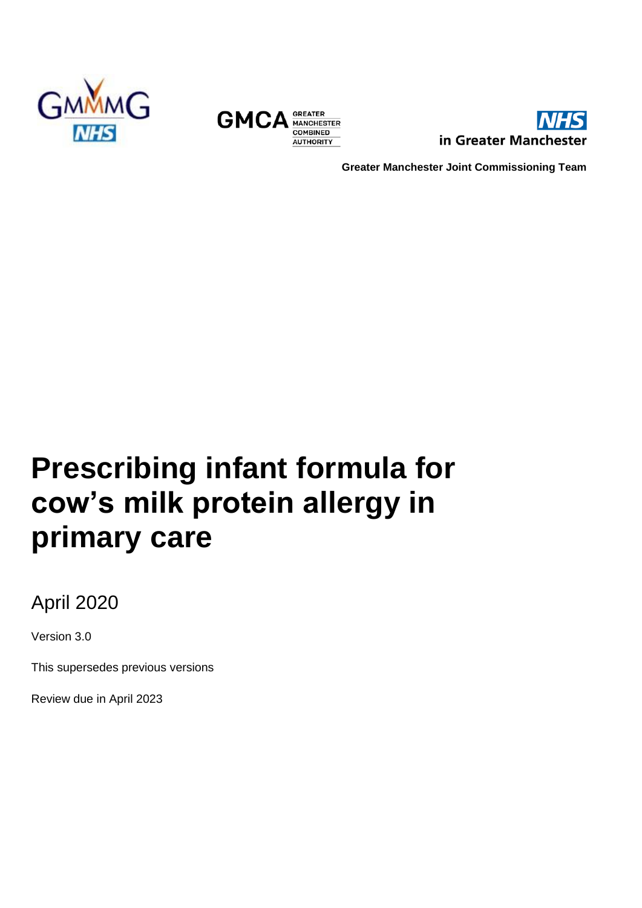





**Greater Manchester Joint Commissioning Team**

# **Prescribing infant formula for cow's milk protein allergy in primary care**

April 2020

Version 3.0

This supersedes previous versions

Review due in April 2023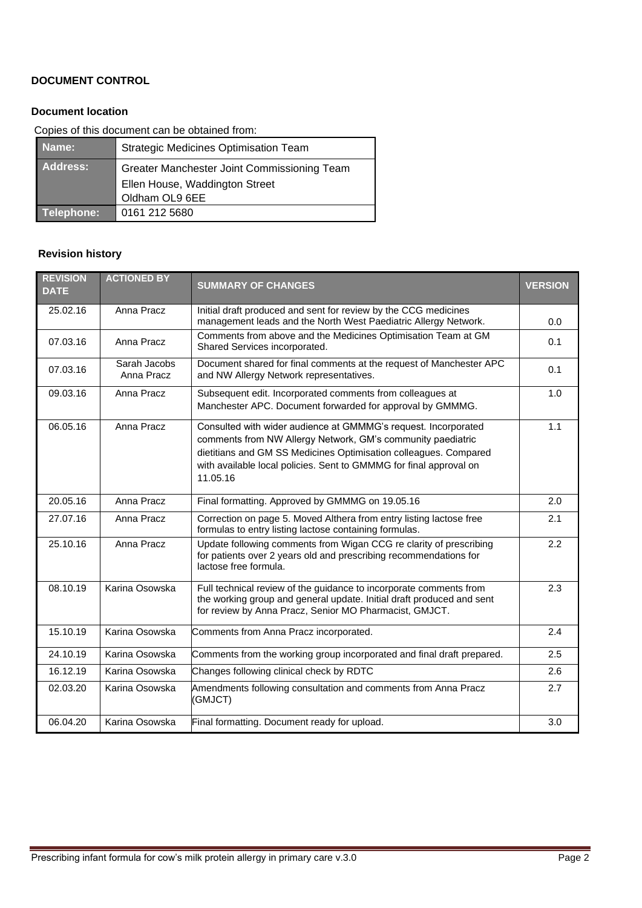#### **DOCUMENT CONTROL**

#### **Document location**

Copies of this document can be obtained from:

| Name:      | Strategic Medicines Optimisation Team       |
|------------|---------------------------------------------|
| Address:   | Greater Manchester Joint Commissioning Team |
|            | Ellen House, Waddington Street              |
|            | Oldham OL9 6EE                              |
| Telephone: | 0161 212 5680                               |

#### **Revision history**

| <b>REVISION</b><br><b>DATE</b> | <b>ACTIONED BY</b>         | <b>SUMMARY OF CHANGES</b>                                                                                                                                                                                                                                                           | <b>VERSION</b> |
|--------------------------------|----------------------------|-------------------------------------------------------------------------------------------------------------------------------------------------------------------------------------------------------------------------------------------------------------------------------------|----------------|
| 25.02.16                       | Anna Pracz                 | Initial draft produced and sent for review by the CCG medicines<br>management leads and the North West Paediatric Allergy Network.                                                                                                                                                  | 0.0            |
| 07.03.16                       | Anna Pracz                 | Comments from above and the Medicines Optimisation Team at GM<br>Shared Services incorporated.                                                                                                                                                                                      | 0.1            |
| 07.03.16                       | Sarah Jacobs<br>Anna Pracz | Document shared for final comments at the request of Manchester APC<br>and NW Allergy Network representatives.                                                                                                                                                                      | 0.1            |
| 09.03.16                       | Anna Pracz                 | Subsequent edit. Incorporated comments from colleagues at<br>Manchester APC. Document forwarded for approval by GMMMG.                                                                                                                                                              | 1.0            |
| 06.05.16                       | Anna Pracz                 | Consulted with wider audience at GMMMG's request. Incorporated<br>comments from NW Allergy Network, GM's community paediatric<br>dietitians and GM SS Medicines Optimisation colleagues. Compared<br>with available local policies. Sent to GMMMG for final approval on<br>11.05.16 | 1.1            |
| 20.05.16                       | Anna Pracz                 | Final formatting. Approved by GMMMG on 19.05.16                                                                                                                                                                                                                                     | 2.0            |
| 27.07.16                       | Anna Pracz                 | Correction on page 5. Moved Althera from entry listing lactose free<br>formulas to entry listing lactose containing formulas.                                                                                                                                                       | 2.1            |
| 25.10.16                       | Anna Pracz                 | Update following comments from Wigan CCG re clarity of prescribing<br>for patients over 2 years old and prescribing recommendations for<br>lactose free formula.                                                                                                                    | 2.2            |
| 08.10.19                       | Karina Osowska             | Full technical review of the guidance to incorporate comments from<br>the working group and general update. Initial draft produced and sent<br>for review by Anna Pracz, Senior MO Pharmacist, GMJCT.                                                                               | 2.3            |
| 15.10.19                       | Karina Osowska             | Comments from Anna Pracz incorporated.                                                                                                                                                                                                                                              | 2.4            |
| 24.10.19                       | Karina Osowska             | Comments from the working group incorporated and final draft prepared.                                                                                                                                                                                                              | 2.5            |
| 16.12.19                       | Karina Osowska             | Changes following clinical check by RDTC                                                                                                                                                                                                                                            | 2.6            |
| 02.03.20                       | Karina Osowska             | Amendments following consultation and comments from Anna Pracz<br>(GMJCT)                                                                                                                                                                                                           | 2.7            |
| 06.04.20                       | Karina Osowska             | Final formatting. Document ready for upload.                                                                                                                                                                                                                                        | 3.0            |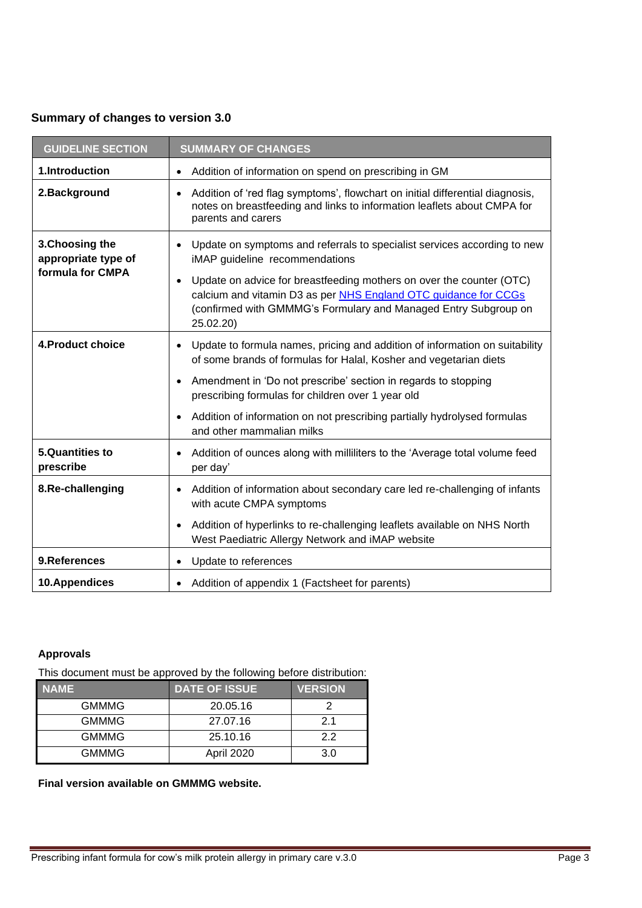#### **Summary of changes to version 3.0**

| <b>GUIDELINE SECTION</b>                                   | <b>SUMMARY OF CHANGES</b>                                                                                                                                                                                                                                                                                                             |  |
|------------------------------------------------------------|---------------------------------------------------------------------------------------------------------------------------------------------------------------------------------------------------------------------------------------------------------------------------------------------------------------------------------------|--|
| 1.Introduction                                             | Addition of information on spend on prescribing in GM                                                                                                                                                                                                                                                                                 |  |
| 2.Background                                               | Addition of 'red flag symptoms', flowchart on initial differential diagnosis,<br>notes on breastfeeding and links to information leaflets about CMPA for<br>parents and carers                                                                                                                                                        |  |
| 3. Choosing the<br>appropriate type of<br>formula for CMPA | Update on symptoms and referrals to specialist services according to new<br>iMAP guideline recommendations<br>Update on advice for breastfeeding mothers on over the counter (OTC)<br>calcium and vitamin D3 as per NHS England OTC guidance for CCGs<br>(confirmed with GMMMG's Formulary and Managed Entry Subgroup on<br>25.02.20) |  |
| 4. Product choice                                          | Update to formula names, pricing and addition of information on suitability<br>$\bullet$<br>of some brands of formulas for Halal, Kosher and vegetarian diets                                                                                                                                                                         |  |
|                                                            | Amendment in 'Do not prescribe' section in regards to stopping<br>٠<br>prescribing formulas for children over 1 year old                                                                                                                                                                                                              |  |
|                                                            | Addition of information on not prescribing partially hydrolysed formulas<br>$\bullet$<br>and other mammalian milks                                                                                                                                                                                                                    |  |
| <b>5.Quantities to</b><br>prescribe                        | Addition of ounces along with milliliters to the 'Average total volume feed<br>per day'                                                                                                                                                                                                                                               |  |
| 8.Re-challenging                                           | Addition of information about secondary care led re-challenging of infants<br>with acute CMPA symptoms                                                                                                                                                                                                                                |  |
|                                                            | Addition of hyperlinks to re-challenging leaflets available on NHS North<br>$\bullet$<br>West Paediatric Allergy Network and iMAP website                                                                                                                                                                                             |  |
| 9.References                                               | Update to references<br>٠                                                                                                                                                                                                                                                                                                             |  |
| 10.Appendices                                              | Addition of appendix 1 (Factsheet for parents)                                                                                                                                                                                                                                                                                        |  |

#### **Approvals**

This document must be approved by the following before distribution:

| <b>NAME</b>  | <b>DATE OF ISSUE</b> | <b>VERSION</b> |
|--------------|----------------------|----------------|
| <b>GMMMG</b> | 20.05.16             |                |
| <b>GMMMG</b> | 27.07.16             | 21             |
| <b>GMMMG</b> | 25.10.16             | クク             |
| <b>GMMMG</b> | April 2020           | 3 O            |

**Final version available on GMMMG website.**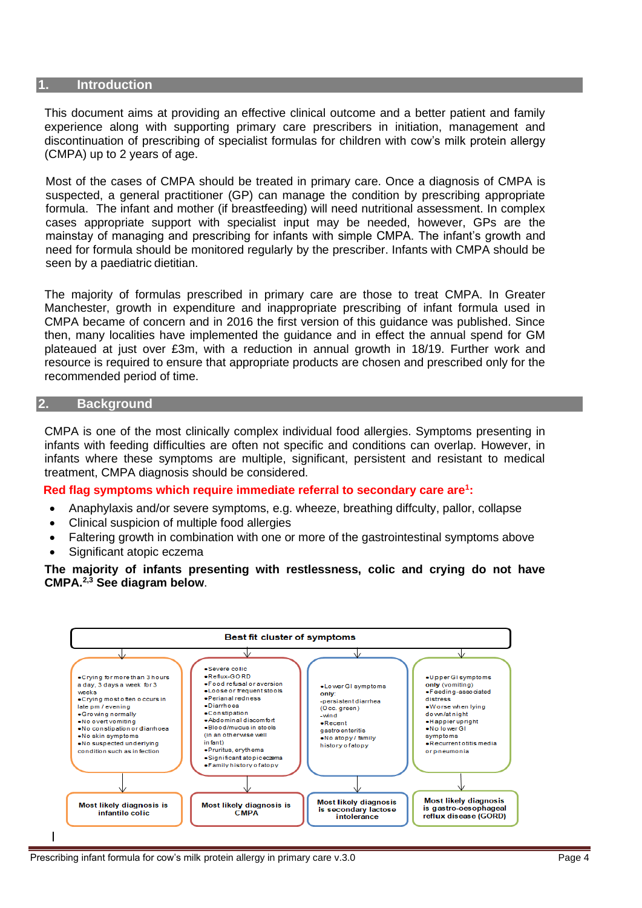#### **1. Introduction**

This document aims at providing an effective clinical outcome and a better patient and family experience along with supporting primary care prescribers in initiation, management and discontinuation of prescribing of specialist formulas for children with cow's milk protein allergy (CMPA) up to 2 years of age.

Most of the cases of CMPA should be treated in primary care. Once a diagnosis of CMPA is suspected, a general practitioner (GP) can manage the condition by prescribing appropriate formula. The infant and mother (if breastfeeding) will need nutritional assessment. In complex cases appropriate support with specialist input may be needed, however, GPs are the mainstay of managing and prescribing for infants with simple CMPA. The infant's growth and need for formula should be monitored regularly by the prescriber. Infants with CMPA should be seen by a paediatric dietitian.

The majority of formulas prescribed in primary care are those to treat CMPA. In Greater Manchester, growth in expenditure and inappropriate prescribing of infant formula used in CMPA became of concern and in 2016 the first version of this guidance was published. Since then, many localities have implemented the guidance and in effect the annual spend for GM plateaued at just over £3m, with a reduction in annual growth in 18/19. Further work and resource is required to ensure that appropriate products are chosen and prescribed only for the recommended period of time.

#### **2. Background**

CMPA is one of the most clinically complex individual food allergies. Symptoms presenting in infants with feeding difficulties are often not specific and conditions can overlap. However, in infants where these symptoms are multiple, significant, persistent and resistant to medical treatment, CMPA diagnosis should be considered.

#### **Red flag symptoms which require immediate referral to secondary care are<sup>1</sup> :**

- Anaphylaxis and/or severe symptoms, e.g. wheeze, breathing diffculty, pallor, collapse
- Clinical suspicion of multiple food allergies
- Faltering growth in combination with one or more of the gastrointestinal symptoms above
- Significant atopic eczema

**The majority of infants presenting with restlessness, colic and crying do not have CMPA.2,3 See diagram below**.

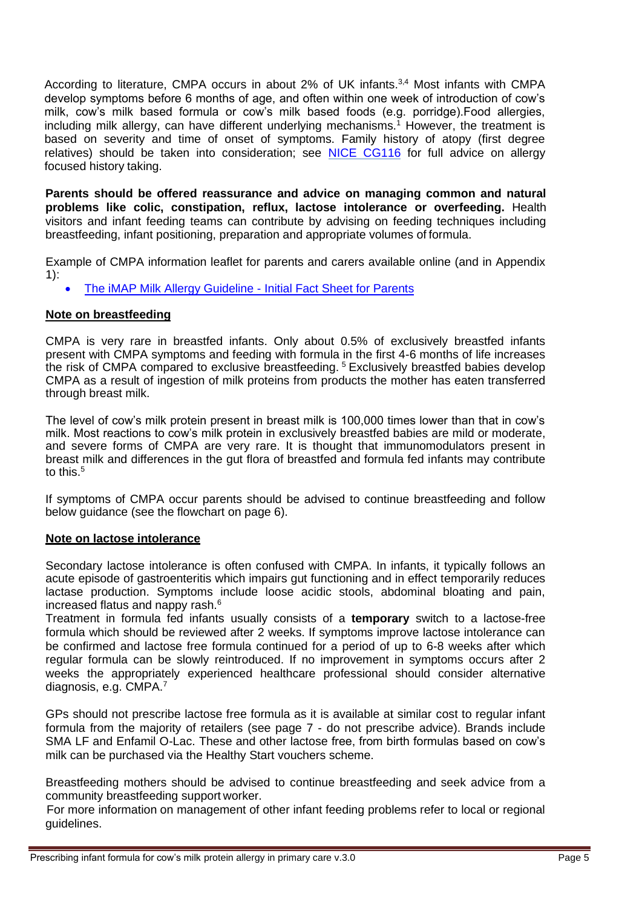According to literature, CMPA occurs in about 2% of UK infants.<sup>3,4</sup> Most infants with CMPA develop symptoms before 6 months of age, and often within one week of introduction of cow's milk, cow's milk based formula or cow's milk based foods (e.g. porridge).Food allergies, including milk allergy, can have different underlying mechanisms.<sup>1</sup> However, the treatment is based on severity and time of onset of symptoms. Family history of atopy (first degree relatives) should be taken into consideration; see [NICE CG116](https://www.nice.org.uk/guidance/cg116) for full advice on allergy focused history taking.

**Parents should be offered reassurance and advice on managing common and natural problems like colic, constipation, reflux, lactose intolerance or overfeeding.** Health visitors and infant feeding teams can contribute by advising on feeding techniques including breastfeeding, infant positioning, preparation and appropriate volumes of formula.

Example of CMPA information leaflet for parents and carers available online (and in Appendix 1):

• [The iMAP Milk Allergy Guideline -](https://gpifn.files.wordpress.com/2019/10/imap_patient_factsheet_original.pdf) Initial Fact Sheet for Parents

#### **Note on breastfeeding**

CMPA is very rare in breastfed infants. Only about 0.5% of exclusively breastfed infants present with CMPA symptoms and feeding with formula in the first 4-6 months of life increases the risk of CMPA compared to exclusive breastfeeding. <sup>5</sup> Exclusively breastfed babies develop CMPA as a result of ingestion of milk proteins from products the mother has eaten transferred through breast milk.

The level of cow's milk protein present in breast milk is 100,000 times lower than that in cow's milk. Most reactions to cow's milk protein in exclusively breastfed babies are mild or moderate, and severe forms of CMPA are very rare. It is thought that immunomodulators present in breast milk and differences in the gut flora of breastfed and formula fed infants may contribute to this.<sup>5</sup>

If symptoms of CMPA occur parents should be advised to continue breastfeeding and follow below guidance (see the flowchart on page 6).

#### **Note on lactose intolerance**

Secondary lactose intolerance is often confused with CMPA. In infants, it typically follows an acute episode of gastroenteritis which impairs gut functioning and in effect temporarily reduces lactase production. Symptoms include loose acidic stools, abdominal bloating and pain, increased flatus and nappy rash.<sup>6</sup>

Treatment in formula fed infants usually consists of a **temporary** switch to a lactose-free formula which should be reviewed after 2 weeks. If symptoms improve lactose intolerance can be confirmed and lactose free formula continued for a period of up to 6-8 weeks after which regular formula can be slowly reintroduced. If no improvement in symptoms occurs after 2 weeks the appropriately experienced healthcare professional should consider alternative diagnosis, e.g. CMPA.<sup>7</sup>

GPs should not prescribe lactose free formula as it is available at similar cost to regular infant formula from the majority of retailers (see page 7 - do not prescribe advice). Brands include SMA LF and Enfamil O-Lac. These and other lactose free, from birth formulas based on cow's milk can be purchased via the Healthy Start vouchers scheme.

Breastfeeding mothers should be advised to continue breastfeeding and seek advice from a community breastfeeding support worker.

 For more information on management of other infant feeding problems refer to local or regional guidelines.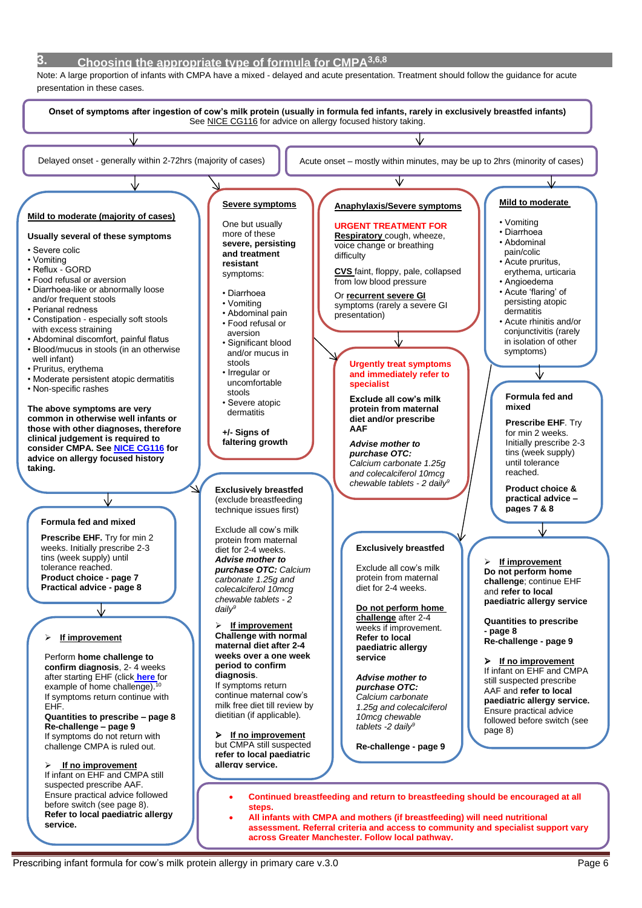#### **3. Choosing the appropriate type of formula for CMPA3,6,8**

 Note: A large proportion of infants with CMPA have a mixed - delayed and acute presentation. Treatment should follow the guidance for acute presentation in these cases.



• **All infants with CMPA and mothers (if breastfeeding) will need nutritional assessment. Referral criteria and access to community and specialist support vary across Greater Manchester. Follow local pathway.**

**service.**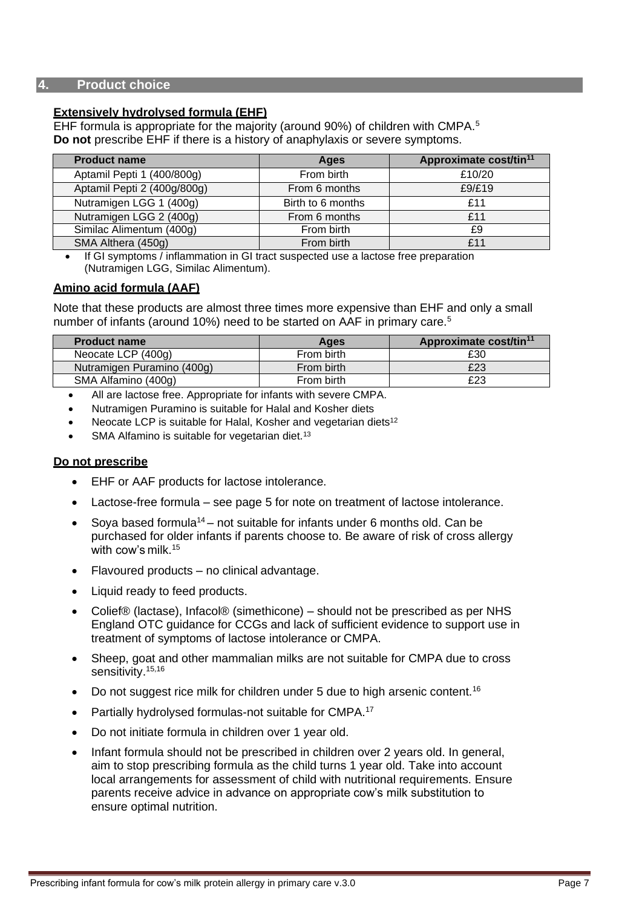#### **4. Product choice**

#### **Extensively hydrolysed formula (EHF)**

EHF formula is appropriate for the majority (around 90%) of children with CMPA.<sup>5</sup> **Do not** prescribe EHF if there is a history of anaphylaxis or severe symptoms.

| <b>Product name</b>         | Ages              | Approximate cost/tin <sup>11</sup> |
|-----------------------------|-------------------|------------------------------------|
| Aptamil Pepti 1 (400/800g)  | From birth        | £10/20                             |
| Aptamil Pepti 2 (400g/800g) | From 6 months     | f9/f19                             |
| Nutramigen LGG 1 (400g)     | Birth to 6 months | f11                                |
| Nutramigen LGG 2 (400g)     | From 6 months     | £11                                |
| Similac Alimentum (400g)    | From birth        | £9                                 |
| SMA Althera (450g)          | From birth        | f11                                |

• If GI symptoms / inflammation in GI tract suspected use a lactose free preparation (Nutramigen LGG, Similac Alimentum).

#### **Amino acid formula (AAF)**

Note that these products are almost three times more expensive than EHF and only a small number of infants (around 10%) need to be started on AAF in primary care.<sup>5</sup>

| Ages       | Approximate cost/tin <sup>11</sup> |
|------------|------------------------------------|
| From birth | £30                                |
| From birth | £23                                |
| From birth | £23                                |
|            |                                    |

- All are lactose free. Appropriate for infants with severe CMPA.
- Nutramigen Puramino is suitable for Halal and Kosher diets
- Neocate LCP is suitable for Halal, Kosher and vegetarian diets<sup>12</sup>
- SMA Alfamino is suitable for vegetarian diet.<sup>13</sup>

#### **Do not prescribe**

- EHF or AAF products for lactose intolerance.
- Lactose-free formula see page 5 for note on treatment of lactose intolerance.
- Sova based formula<sup>14</sup> not suitable for infants under 6 months old. Can be purchased for older infants if parents choose to. Be aware of risk of cross allergy with cow's milk.<sup>15</sup>
- Flavoured products no clinical advantage.
- Liquid ready to feed products.
- Colief® (lactase), Infacol® (simethicone) should not be prescribed as per NHS England OTC guidance for CCGs and lack of sufficient evidence to support use in treatment of symptoms of lactose intolerance or CMPA.
- Sheep, goat and other mammalian milks are not suitable for CMPA due to cross sensitivity.<sup>15,16</sup>
- Do not suggest rice milk for children under 5 due to high arsenic content.<sup>16</sup>
- Partially hydrolysed formulas-not suitable for CMPA.<sup>17</sup>
- Do not initiate formula in children over 1 year old.
- Infant formula should not be prescribed in children over 2 years old. In general, aim to stop prescribing formula as the child turns 1 year old. Take into account local arrangements for assessment of child with nutritional requirements. Ensure parents receive advice in advance on appropriate cow's milk substitution to ensure optimal nutrition.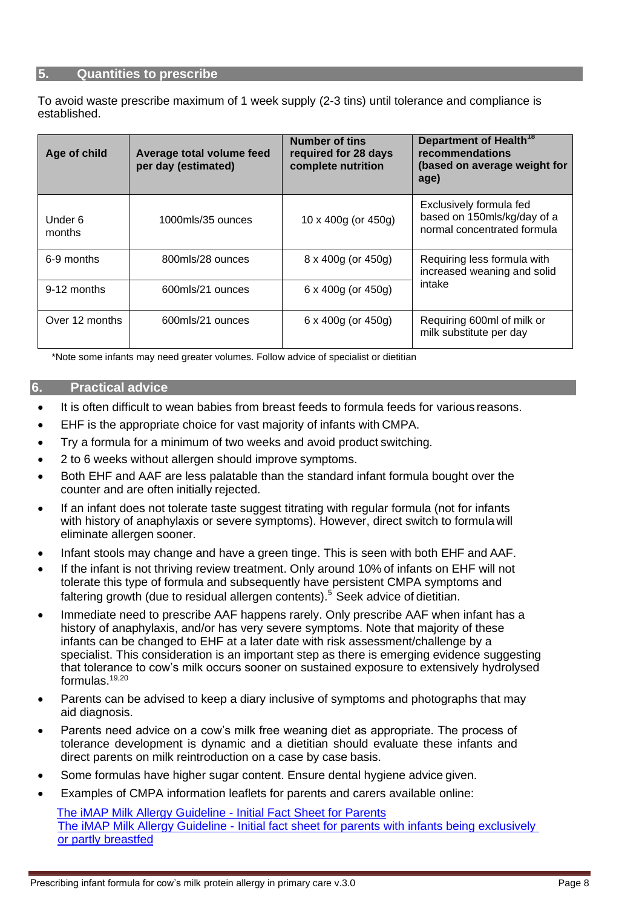#### **5. Quantities to prescribe**

To avoid waste prescribe maximum of 1 week supply (2-3 tins) until tolerance and compliance is established.

| Age of child      | Average total volume feed<br>per day (estimated) | <b>Number of tins</b><br>required for 28 days<br>complete nutrition | Department of Health <sup>18</sup><br>recommendations<br>(based on average weight for<br>age) |  |
|-------------------|--------------------------------------------------|---------------------------------------------------------------------|-----------------------------------------------------------------------------------------------|--|
| Under 6<br>months | 1000mls/35 ounces                                | 10 x 400g (or 450g)                                                 | Exclusively formula fed<br>based on 150mls/kg/day of a<br>normal concentrated formula         |  |
| 6-9 months        | 800mls/28 ounces                                 | $8 \times 400$ g (or $450$ g)                                       | Requiring less formula with<br>increased weaning and solid<br>intake                          |  |
| 9-12 months       | 600mls/21 ounces                                 | 6 x 400g (or 450g)                                                  |                                                                                               |  |
| Over 12 months    | 600mls/21 ounces                                 | 6 x 400g (or 450g)                                                  | Requiring 600ml of milk or<br>milk substitute per day                                         |  |

\*Note some infants may need greater volumes. Follow advice of specialist or dietitian

#### **6. Practical advice**

- It is often difficult to wean babies from breast feeds to formula feeds for various reasons.
- EHF is the appropriate choice for vast majority of infants with CMPA.
- Try a formula for a minimum of two weeks and avoid product switching.
- 2 to 6 weeks without allergen should improve symptoms.
- Both EHF and AAF are less palatable than the standard infant formula bought over the counter and are often initially rejected.
- If an infant does not tolerate taste suggest titrating with regular formula (not for infants with history of anaphylaxis or severe symptoms). However, direct switch to formula will eliminate allergen sooner.
- Infant stools may change and have a green tinge. This is seen with both EHF and AAF.
- If the infant is not thriving review treatment. Only around 10% of infants on EHF will not tolerate this type of formula and subsequently have persistent CMPA symptoms and faltering growth (due to residual allergen contents).<sup>5</sup> Seek advice of dietitian.
- Immediate need to prescribe AAF happens rarely. Only prescribe AAF when infant has a history of anaphylaxis, and/or has very severe symptoms. Note that majority of these infants can be changed to EHF at a later date with risk assessment/challenge by a specialist. This consideration is an important step as there is emerging evidence suggesting that tolerance to cow's milk occurs sooner on sustained exposure to extensively hydrolysed formulas. $19,20$
- Parents can be advised to keep a diary inclusive of symptoms and photographs that may aid diagnosis.
- Parents need advice on a cow's milk free weaning diet as appropriate. The process of tolerance development is dynamic and a dietitian should evaluate these infants and direct parents on milk reintroduction on a case by case basis.
- Some formulas have higher sugar content. Ensure dental hygiene advice given.
- Examples of CMPA information leaflets for parents and carers available online:

 [The iMAP Milk Allergy Guideline -](https://gpifn.files.wordpress.com/2019/10/imap_patient_factsheet_original.pdf) Initial Fact Sheet for Parents The iMAP Milk Allergy Guideline - [Initial fact sheet for parents with infants being exclusively](https://gpifn.files.wordpress.com/2019/10/imap-supporting-breastfeeding-factsheet.pdf)  [or partly breastfed](https://gpifn.files.wordpress.com/2019/10/imap-supporting-breastfeeding-factsheet.pdf)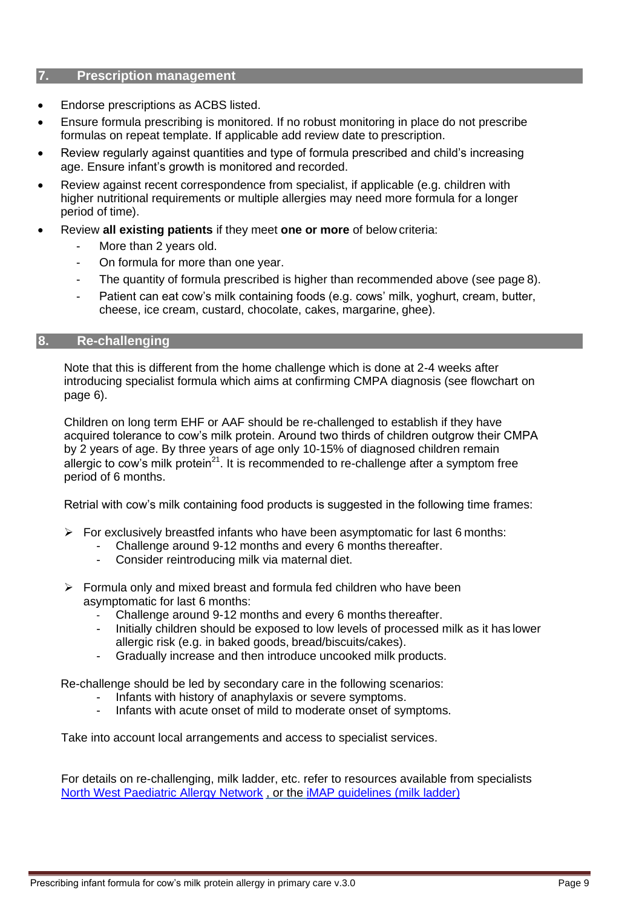#### **7. Prescription management**

- Endorse prescriptions as ACBS listed.
- Ensure formula prescribing is monitored. If no robust monitoring in place do not prescribe formulas on repeat template. If applicable add review date to prescription.
- Review regularly against quantities and type of formula prescribed and child's increasing age. Ensure infant's growth is monitored and recorded.
- Review against recent correspondence from specialist, if applicable (e.g. children with higher nutritional requirements or multiple allergies may need more formula for a longer period of time).
- Review **all existing patients** if they meet **one or more** of below criteria:
	- More than 2 years old.
	- On formula for more than one year.
	- The quantity of formula prescribed is higher than recommended above (see page 8).
	- Patient can eat cow's milk containing foods (e.g. cows' milk, yoghurt, cream, butter, cheese, ice cream, custard, chocolate, cakes, margarine, ghee).

#### **8. Re-challenging**

Note that this is different from the home challenge which is done at 2-4 weeks after introducing specialist formula which aims at confirming CMPA diagnosis (see flowchart on page 6).

Children on long term EHF or AAF should be re-challenged to establish if they have acquired tolerance to cow's milk protein. Around two thirds of children outgrow their CMPA by 2 years of age. By three years of age only 10-15% of diagnosed children remain allergic to cow's milk protein<sup>21</sup>. It is recommended to re-challenge after a symptom free period of 6 months.

Retrial with cow's milk containing food products is suggested in the following time frames:

- $\triangleright$  For exclusively breastfed infants who have been asymptomatic for last 6 months:
	- Challenge around 9-12 months and every 6 months thereafter.
		- Consider reintroducing milk via maternal diet.
- ➢ Formula only and mixed breast and formula fed children who have been asymptomatic for last 6 months:
	- Challenge around 9-12 months and every 6 months thereafter.
	- Initially children should be exposed to low levels of processed milk as it has lower allergic risk (e.g. in baked goods, bread/biscuits/cakes).
	- Gradually increase and then introduce uncooked milk products.

Re-challenge should be led by secondary care in the following scenarios:

- Infants with history of anaphylaxis or severe symptoms.
- Infants with acute onset of mild to moderate onset of symptoms.

Take into account local arrangements and access to specialist services.

For details on re-challenging, milk ladder, etc. refer to resources available from specialists [North West Paediatric Allergy Network](https://allergynorthwest.nhs.uk/wp-content/uploads/2019/03/AA-NW-Allergy-Paed-Info-Home-milk-challenge.pdf) , or the [iMAP guidelines](https://www.allergyuk.org/assets/000/001/297/iMAP_Final_Ladder-May_2017_original.pdf?1502804928) (milk ladder)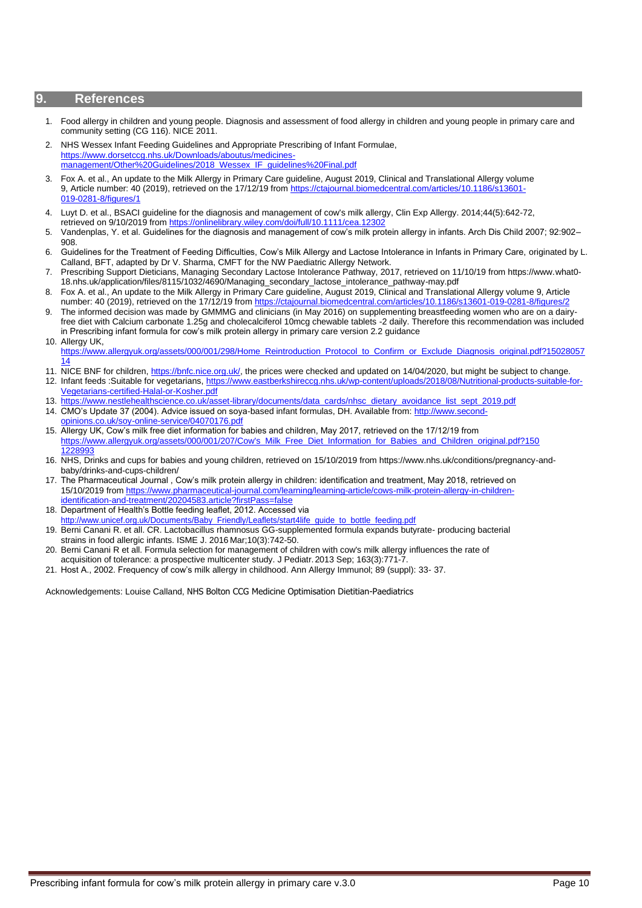#### **9. References**

- 1. Food allergy in children and young people. Diagnosis and assessment of food allergy in children and young people in primary care and community setting (CG 116). NICE 2011.
- 2. NHS Wessex Infant Feeding Guidelines and Appropriate Prescribing of Infant Formulae, [https://www.dorsetccg.nhs.uk/Downloads/aboutus/medicines](https://www.dorsetccg.nhs.uk/Downloads/aboutus/medicines-management/Other%20Guidelines/2018_Wessex_IF_guidelines%20Final.pdf)[management/Other%20Guidelines/2018\\_Wessex\\_IF\\_guidelines%20Final.pdf](https://www.dorsetccg.nhs.uk/Downloads/aboutus/medicines-management/Other%20Guidelines/2018_Wessex_IF_guidelines%20Final.pdf)
- 3. Fox A. et al., An update to the Milk Allergy in Primary Care guideline, August 2019, Clinical and Translational Allergy volume 9, Article number: 40 (2019), retrieved on the 17/12/19 fro[m https://ctajournal.biomedcentral.com/articles/10.1186/s13601-](https://ctajournal.biomedcentral.com/articles/10.1186/s13601-019-0281-8/figures/1) [019-0281-8/figures/1](https://ctajournal.biomedcentral.com/articles/10.1186/s13601-019-0281-8/figures/1)
- 4. Luyt D. et al., BSACI guideline for the diagnosis and management of cow's milk allergy, Clin Exp Allergy. 2014;44(5):642-72, retrieved on 9/10/2019 from https://onlinelibrary.wiley.com/doi/full/10.1111/cea.123
- 5. Vandenplas, Y. et al. Guidelines for the diagnosis and management of cow's milk protein allergy in infants. Arch Dis Child 2007; 92:902– 908.
- 6. Guidelines for the Treatment of Feeding Difficulties, Cow's Milk Allergy and Lactose Intolerance in Infants in Primary Care, originated by L. Calland, BFT, adapted by Dr V. Sharma, CMFT for the NW Paediatric Allergy Network.
- 7. Prescribing Support Dieticians, Managing Secondary Lactose Intolerance Pathway, 2017, retrieved on 11/10/19 from https://www.what0- 18.nhs.uk/application/files/8115/1032/4690/Managing\_secondary\_lactose\_intolerance\_pathway-may.pdf
- 8. Fox A. et al., An update to the Milk Allergy in Primary Care guideline, August 2019, Clinical and Translational Allergy volume 9, Article number: 40 (2019), retrieved on the 17/12/19 from https://ctajournal.biomedcentral.com/articles/10.1186/s13601-019-0281-8/figures
- 9. The informed decision was made by GMMMG and clinicians (in May 2016) on supplementing breastfeeding women who are on a dairyfree diet with Calcium carbonate 1.25g and cholecalciferol 10mcg chewable tablets -2 daily. Therefore this recommendation was included in Prescribing infant formula for cow's milk protein allergy in primary care version 2.2 guidance 10. Allergy UK,
- [https://www.allergyuk.org/assets/000/001/298/Home\\_Reintroduction\\_Protocol\\_to\\_Confirm\\_or\\_Exclude\\_Diagnosis\\_original.pdf?15028057](https://www.allergyuk.org/assets/000/001/298/Home_Reintroduction_Protocol_to_Confirm_or_Exclude_Diagnosis_original.pdf?1502805714) [14](https://www.allergyuk.org/assets/000/001/298/Home_Reintroduction_Protocol_to_Confirm_or_Exclude_Diagnosis_original.pdf?1502805714)
- 11. NICE BNF for children, [https://bnfc.nice.org.uk/,](https://bnfc.nice.org.uk/) the prices were checked and updated on 14/04/2020, but might be subject to change.
- 12. Infant feeds :Suitable for vegetarians, [https://www.eastberkshireccg.nhs.uk/wp-content/uploads/2018/08/Nutritional-products-suitable-for-](https://www.eastberkshireccg.nhs.uk/wp-content/uploads/2018/08/Nutritional-products-suitable-for-Vegetarians-certified-Halal-or-Kosher.pdf)[Vegetarians-certified-Halal-or-Kosher.pdf](https://www.eastberkshireccg.nhs.uk/wp-content/uploads/2018/08/Nutritional-products-suitable-for-Vegetarians-certified-Halal-or-Kosher.pdf)
- 13. [https://www.nestlehealthscience.co.uk/asset-library/documents/data\\_cards/nhsc\\_dietary\\_avoidance\\_list\\_sept\\_2019.pdf](https://www.nestlehealthscience.co.uk/asset-library/documents/data_cards/nhsc_dietary_avoidance_list_sept_2019.pdf)
- 14. CMO's Update 37 (2004). Advice issued on soya-based infant formulas, DH. Available from: [http://www.second](http://www.second-opinions.co.uk/soy-online-service/04070176.pdf)[opinions.co.uk/soy-online-service/04070176.pdf](http://www.second-opinions.co.uk/soy-online-service/04070176.pdf)
- 15. Allergy UK, Cow's milk free diet information for babies and children, May 2017, retrieved on the 17/12/19 from [https://www.allergyuk.org/assets/000/001/207/Cow's\\_Milk\\_Free\\_Diet\\_Information\\_for\\_Babies\\_and\\_Children\\_original.pdf?150](https://www.allergyuk.org/assets/000/001/207/Cow) [1228993](https://www.allergyuk.org/assets/000/001/207/Cow)
- 16. NHS, Drinks and cups for babies and young children, retrieved on 15/10/2019 from https://www.nhs.uk/conditions/pregnancy-andbaby/drinks-and-cups-children/
- 17. The Pharmaceutical Journal , Cow's milk protein allergy in children: identification and treatment, May 2018, retrieved on 15/10/2019 from [https://www.pharmaceutical-journal.com/learning/learning-article/cows-milk-protein-allergy-in-children](https://www.pharmaceutical-journal.com/learning/learning-article/cows-milk-protein-allergy-in-children-identification-and-treatment/20204583.article?firstPass=false)[identification-and-treatment/20204583.article?firstPass=false](https://www.pharmaceutical-journal.com/learning/learning-article/cows-milk-protein-allergy-in-children-identification-and-treatment/20204583.article?firstPass=false)
- 18. Department of Health's Bottle feeding leaflet, 2012. Accessed via [http://www.unicef.org.uk/Documents/Baby\\_Friendly/Leaflets/start4life\\_guide\\_to\\_bottle\\_feeding.pdf](http://www.unicef.org.uk/Documents/Baby_Friendly/Leaflets/start4life_guide_to_bottle_feeding.pdf)
- 19. Berni Canani R. et all. CR. Lactobacillus rhamnosus GG-supplemented formula expands butyrate- producing bacterial strains in food allergic infants. ISME J. 2016 Mar;10(3):742-50.
- 20. Berni Canani R et all. Formula selection for management of children with cow's milk allergy influences the rate of acquisition of tolerance: a prospective multicenter study. J Pediatr.2013 Sep; 163(3):771-7.
- 21. Host A., 2002. Frequency of cow's milk allergy in childhood. Ann Allergy Immunol; 89 (suppl): 33- 37.

Acknowledgements: Louise Calland, NHS Bolton CCG Medicine Optimisation Dietitian-Paediatrics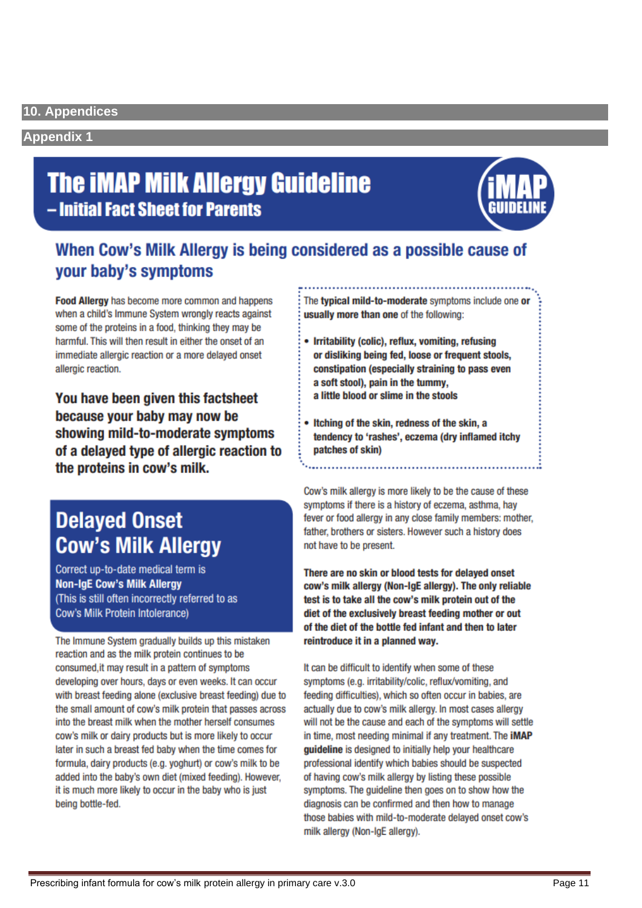#### **Appendix 1**

## **The iMAP Milk Allergy Guideline** - Initial Fact Sheet for Parents



### When Cow's Milk Allergy is being considered as a possible cause of your baby's symptoms

Food Alleray has become more common and happens when a child's Immune System wrongly reacts against some of the proteins in a food, thinking they may be harmful. This will then result in either the onset of an immediate allergic reaction or a more delayed onset allergic reaction.

You have been given this factsheet because your baby may now be showing mild-to-moderate symptoms of a delayed type of allergic reaction to the proteins in cow's milk.

## **Delayed Onset Cow's Milk Allergy**

Correct up-to-date medical term is **Non-IgE Cow's Milk Allergy** (This is still often incorrectly referred to as **Cow's Milk Protein Intolerance)** 

The Immune System gradually builds up this mistaken reaction and as the milk protein continues to be consumed, it may result in a pattern of symptoms developing over hours, days or even weeks. It can occur with breast feeding alone (exclusive breast feeding) due to the small amount of cow's milk protein that passes across into the breast milk when the mother herself consumes cow's milk or dairy products but is more likely to occur later in such a breast fed baby when the time comes for formula, dairy products (e.g. yoghurt) or cow's milk to be added into the baby's own diet (mixed feeding). However, it is much more likely to occur in the baby who is just being bottle-fed.

The typical mild-to-moderate symptoms include one or usually more than one of the following:

- Irritability (colic), reflux, vomiting, refusing or disliking being fed, loose or frequent stools, constipation (especially straining to pass even a soft stool), pain in the tummy, a little blood or slime in the stools
- Itching of the skin, redness of the skin, a tendency to 'rashes', eczema (dry inflamed itchy patches of skin)

Cow's milk allergy is more likely to be the cause of these symptoms if there is a history of eczema, asthma, hay fever or food allergy in any close family members: mother, father, brothers or sisters. However such a history does not have to be present.

There are no skin or blood tests for delayed onset cow's milk allergy (Non-IgE allergy). The only reliable test is to take all the cow's milk protein out of the diet of the exclusively breast feeding mother or out of the diet of the bottle fed infant and then to later reintroduce it in a planned way.

It can be difficult to identify when some of these symptoms (e.g. irritability/colic, reflux/vomiting, and feeding difficulties), which so often occur in babies, are actually due to cow's milk allergy. In most cases allergy will not be the cause and each of the symptoms will settle in time, most needing minimal if any treatment. The iMAP guideline is designed to initially help your healthcare professional identify which babies should be suspected of having cow's milk allergy by listing these possible symptoms. The guideline then goes on to show how the diagnosis can be confirmed and then how to manage those babies with mild-to-moderate delayed onset cow's milk allergy (Non-IgE allergy).